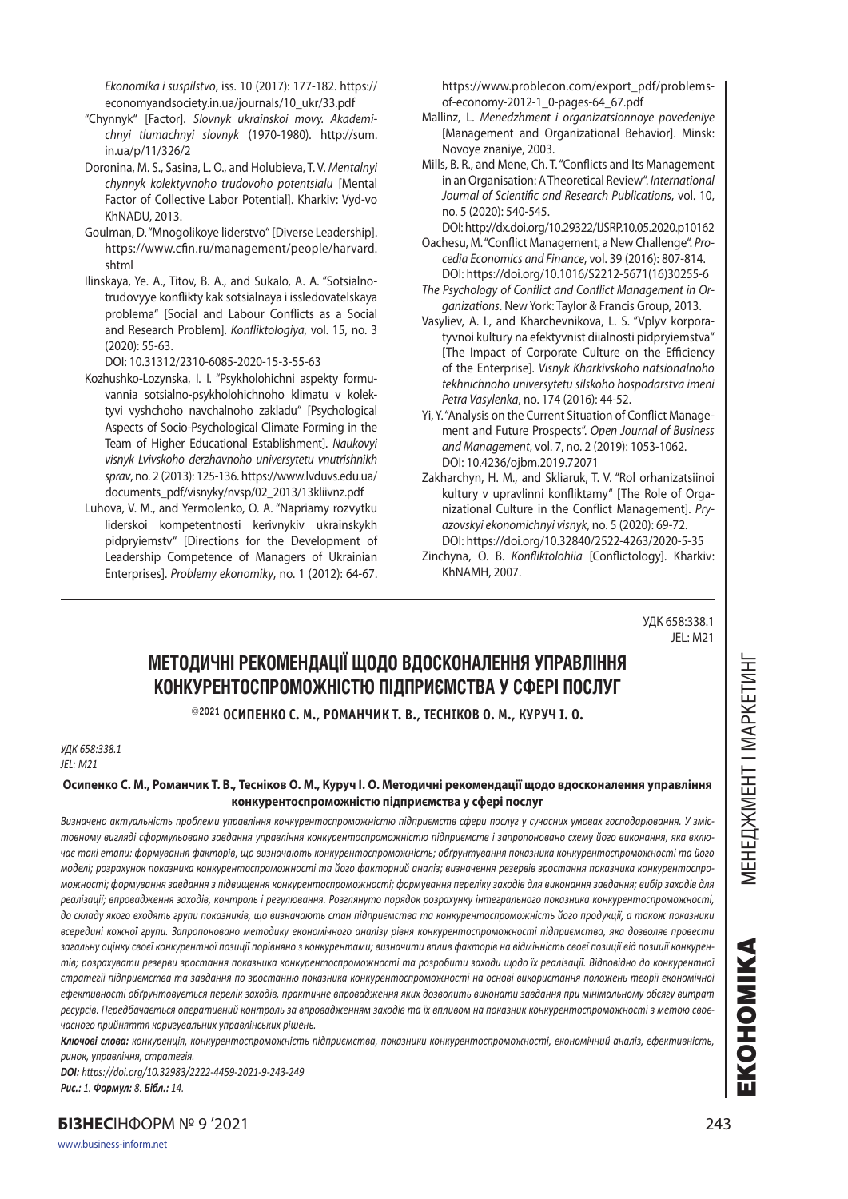*Ekonomika i suspilstvo*, iss. 10 (2017): 177-182. https:// economyandsociety.in.ua/journals/10\_ukr/33.pdf

- "Chynnyk" [Factor]. *Slovnyk ukrainskoi movy. Akademichnyi tlumachnyi slovnyk* (1970-1980). http://sum. in.ua/p/11/326/2
- Doronina, M. S., Sasina, L. O., and Holubieva, T. V. *Mentalnyi chynnyk kolektyvnoho trudovoho potentsialu* [Mental Factor of Collective Labor Potential]. Kharkiv: Vyd-vo KhNADU, 2013.
- Goulman, D. "Mnogolikoye liderstvo" [Diverse Leadership]. https://www.cfin.ru/management/people/harvard. shtml
- Ilinskaya, Ye. A., Titov, B. A., and Sukalo, A. A. "Sotsialnotrudovyye konflikty kak sotsialnaya i issledovatelskaya problema" [Social and Labour Conflicts as a Social and Research Problem]. *Konfliktologiya*, vol. 15, no. 3 (2020): 55-63.

DOI: 10.31312/2310-6085-2020-15-3-55-63

- Kozhushko-Lozynska, I. I. "Psykholohichni aspekty formuvannia sotsialno-psykholohichnoho klimatu v kolektyvi vyshchoho navchalnoho zakladu" [Psychological Aspects of Socio-Psychological Climate Forming in the Team of Higher Educational Establishment]. *Naukovyi visnyk Lvivskoho derzhavnoho universytetu vnutrishnikh sprav*, no. 2 (2013): 125-136. https://www.lvduvs.edu.ua/ documents\_pdf/visnyky/nvsp/02\_2013/13kliivnz.pdf
- Luhova, V. M., and Yermolenko, O. A. "Napriamy rozvytku liderskoi kompetentnosti kerivnykiv ukrainskykh pidpryiemstv" [Directions for the Development of Leadership Competence of Managers of Ukrainian Enterprises]. *Problemy ekonomiky*, no. 1 (2012): 64-67.

https://www.problecon.com/export\_pdf/problemsof-economy-2012-1\_0-pages-64\_67.pdf

- Mallinz, L. *Menedzhment i organizatsionnoye povedeniye*  [Management and Organizational Behavior]. Minsk: Novoye znaniye, 2003.
- Mills, B. R., and Mene, Ch. T. "Conflicts and Its Management in an Organisation: A Theoretical Review". *International Journal of Scientific and Research Publications*, vol. 10, no. 5 (2020): 540-545.
- DOI: http://dx.doi.org/10.29322/IJSRP.10.05.2020.p10162 Oachesu, M. "Conflict Management, a New Challenge". *Pro-*
- *cedia Economics and Finance*, vol. 39 (2016): 807-814. DOI: https://doi.org/10.1016/S2212-5671(16)30255-6
- *The Psychology of Conflict and Conflict Management in Organizations*. New York: Taylor & Francis Group, 2013.
- Vasyliev, A. I., and Kharchevnikova, L. S. "Vplyv korporatyvnoi kultury na efektyvnist diialnosti pidpryiemstva" [The Impact of Corporate Culture on the Efficiency of the Enterprise]. *Visnyk Kharkivskoho natsionalnoho tekhnichnoho universytetu silskoho hospodarstva imeni Petra Vasylenka*, no. 174 (2016): 44-52.
- Yi, Y. "Analysis on the Current Situation of Conflict Management and Future Prospects". *Open Journal of Business and Management*, vol. 7, no. 2 (2019): 1053-1062. DOI: 10.4236/ojbm.2019.72071
- Zakharchyn, H. M., and Skliaruk, T. V. "Rol orhanizatsiinoi kultury v upravlinni konfliktamy" [The Role of Organizational Culture in the Conflict Management]. *Pryazovskyi ekonomichnyi visnyk*, no. 5 (2020): 69-72. DOI: https://doi.org/10.32840/2522-4263/2020-5-35
- Zinchyna, O. B. *Konfliktolohiia* [Conflictology]. Kharkiv: KhNAMH, 2007.

УДК 658:338.1 JEL: M21

# **МЕТОДИЧНІ РЕКОМЕНДАЦІЇ ЩОДО ВДОСКОНАЛЕННЯ УПРАВЛІННЯ КОНКУРЕНТОСПРОМОЖНІСТЮ ПІДПРИЄМСТВА У СФЕРІ ПОСЛУГ**

**2021 ОСИПЕНКО С. М., РОМАНЧИК Т. В., ТЕСНІКОВ О. М., КУРУЧ І. О.** 

#### *УДК 658:338.1 JEL: M21*

## **Осипенко С. М., Романчик Т. В., Тесніков О. М., Куруч І. О. Методичні рекомендації щодо вдосконалення управління конкурентоспроможністю підприємства у сфері послуг**

*Визначено актуальність проблеми управління конкурентоспроможністю підприємств сфери послуг у сучасних умовах господарювання. У змістовному вигляді сформульовано завдання управління конкурентоспроможністю підприємств і запропоновано схему його виконання, яка включає такі етапи: формування факторів, що визначають конкурентоспроможність; обґрунтування показника конкурентоспроможності та його моделі; розрахунок показника конкурентоспроможності та його факторний аналіз; визначення резервів зростання показника конкурентоспроможності; формування завдання з підвищення конкурентоспроможності; формування переліку заходів для виконання завдання; вибір заходів для реалізації; впровадження заходів, контроль і регулювання. Розглянуто порядок розрахунку інтегрального показника конкурентоспроможності, до складу якого входять групи показників, що визначають стан підприємства та конкурентоспроможність його продукції, а також показники всередині кожної групи. Запропоновано методику економічного аналізу рівня конкурентоспроможності підприємства, яка дозволяє провести загальну оцінку своєї конкурентної позиції порівняно з конкурентами; визначити вплив факторів на відмінність своєї позиції від позиції конкурентів; розрахувати резерви зростання показника конкурентоспроможності та розробити заходи щодо їх реалізації. Відповідно до конкурентної стратегії підприємства та завдання по зростанню показника конкурентоспроможності на основі використання положень теорії економічної ефективності обґрунтовується перелік заходів, практичне впровадження яких дозволить виконати завдання при мінімальному обсягу витрат ресурсів. Передбачається оперативний контроль за впровадженням заходів та їх впливом на показник конкурентоспроможності з метою своєчасного прийняття коригувальних управлінських рішень.*

*Ключові слова: конкуренція, конкурентоспроможність підприємства, показники конкурентоспроможності, економічний аналіз, ефективність, ринок, управління, стратегія.*

*DOI: https://doi.org/10.32983/2222-4459-2021-9-243-249 Рис.: 1. Формул: 8. Бібл.: 14.*

**БІЗНЕС**ІНФОРМ № 9 '2021 243

EKOHOMIKA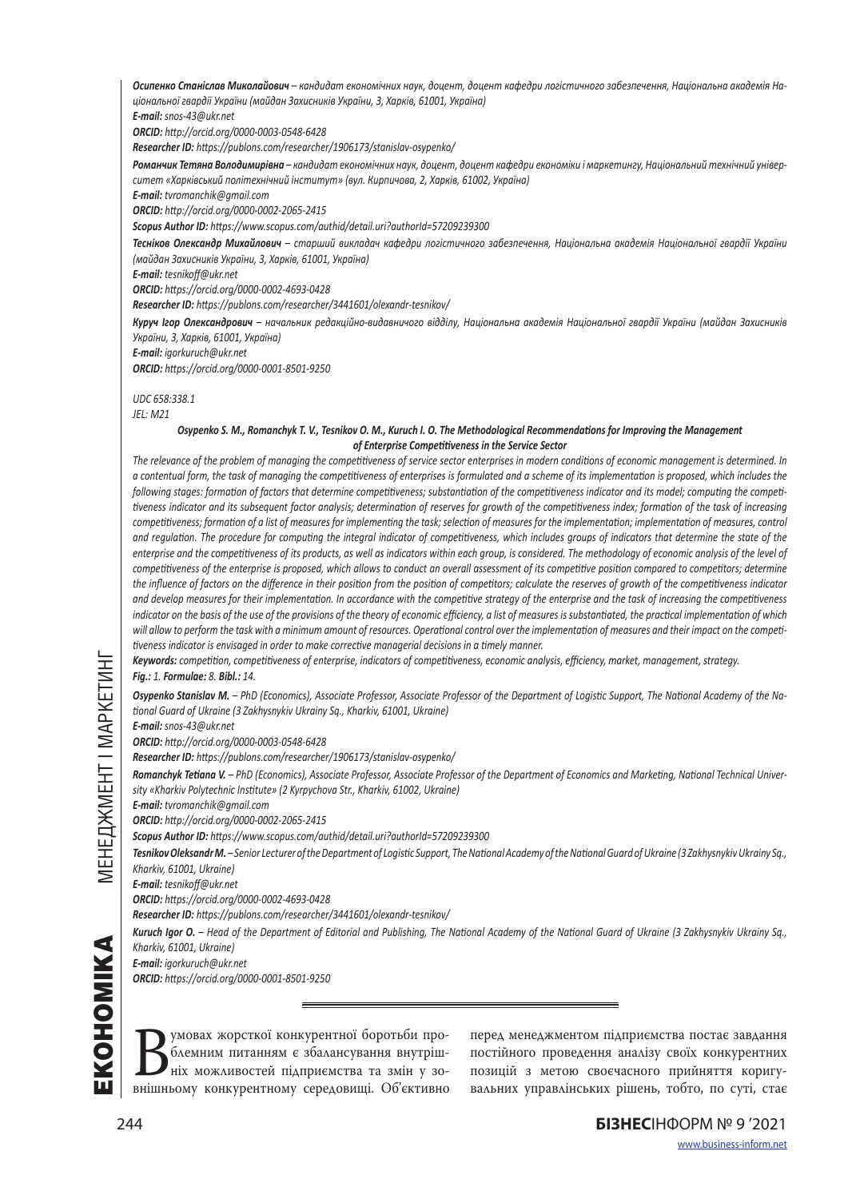*Осипенко Станіслав Миколайович – кандидат економічних наук, доцент, доцент кафедри логістичного забезпечення, Національна академія Національної гвардії України (майдан Захисників України, 3, Харків, 61001, Україна)*

*E-mail: snos-43@ukr.net*

*ORCID: http://orcid.org/0000-0003-0548-6428*

*Researcher ID: https://publons.com/researcher/1906173/stanislav-osypenko/*

*Романчик Тетяна Володимирівна – кандидат економічних наук, доцент, доцент кафедри економіки і маркетингу, Національний технічний університет «Харківський політехнічний інститут» (вул. Кирпичова, 2, Харків, 61002, Україна)*

*E-mail: tvromanchik@gmail.com*

*ORCID: http://orcid.org/0000-0002-2065-2415*

*Scopus Author ID: https://www.scopus.com/authid/detail.uri?authorId=57209239300*

*Тесніков Олександр Михайлович – старший викладач кафедри логістичного забезпечення, Національна академія Національної гвардії України (майдан Захисників України, 3, Харків, 61001, Україна)*

*E-mail: tesnikoff@ukr.net*

*ORCID: https://orcid.org/0000-0002-4693-0428*

*Researcher ID: https://publons.com/researcher/3441601/olexandr-tesnikov/*

*Куруч Ігор Олександрович – начальник редакційно-видавничого відділу, Національна академія Національної гвардії України (майдан Захисників України, 3, Харків, 61001, Україна)*

*E-mail: igorkuruch@ukr.net*

*ORCID: https://orcid.org/0000-0001-8501-9250*

*UDC 658:338.1*

*JEL: M21*

#### *Osypenko S. M., Romanchyk T. V., Tesnikov O. M., Kuruch I. O. The Methodological Recommendations for Improving the Management of Enterprise Competitiveness in the Service Sector*

*The relevance of the problem of managing the competitiveness of service sector enterprises in modern conditions of economic management is determined. In a contentual form, the task of managing the competitiveness of enterprises is formulated and a scheme of its implementation is proposed, which includes the following stages: formation of factors that determine competitiveness; substantiation of the competitiveness indicator and its model; computing the competitiveness indicator and its subsequent factor analysis; determination of reserves for growth of the competitiveness index; formation of the task of increasing competitiveness; formation of a list of measures for implementing the task; selection of measures for the implementation; implementation of measures, control and regulation. The procedure for computing the integral indicator of competitiveness, which includes groups of indicators that determine the state of the enterprise and the competitiveness of its products, as well as indicators within each group, is considered. The methodology of economic analysis of the level of competitiveness of the enterprise is proposed, which allows to conduct an overall assessment of its competitive position compared to competitors; determine the influence of factors on the difference in their position from the position of competitors; calculate the reserves of growth of the competitiveness indicator and develop measures for their implementation. In accordance with the competitive strategy of the enterprise and the task of increasing the competitiveness indicator on the basis of the use of the provisions of the theory of economic efficiency, a list of measures is substantiated, the practical implementation of which will allow to perform the task with a minimum amount of resources. Operational control over the implementation of measures and their impact on the competitiveness indicator is envisaged in order to make corrective managerial decisions in a timely manner.*

*Keywords: competition, competitiveness of enterprise, indicators of competitiveness, economic analysis, efficiency, market, management, strategy. Fig.: 1. Formulae: 8. Bibl.: 14.*

*Osypenko Stanislav M. – PhD (Economics), Associate Professor, Associate Professor of the Department of Logistic Support, The National Academy of the National Guard of Ukraine (3 Zakhysnykiv Ukrainy Sq., Kharkіv, 61001, Ukraine)*

*E-mail: snos-43@ukr.net*

*ORCID: http://orcid.org/0000-0003-0548-6428*

*Researcher ID: https://publons.com/researcher/1906173/stanislav-osypenko/*

*Romanchyk Tetiana V. – PhD (Economics), Associate Professor, Associate Professor of the Department of Economics and Marketing, National Technical University «Kharkiv Polytechnic Institute» (2 Kyrpychova Str., Kharkіv, 61002, Ukraine)*

*E-mail: tvromanchik@gmail.com*

*ORCID: http://orcid.org/0000-0002-2065-2415*

*Scopus Author ID: https://www.scopus.com/authid/detail.uri?authorId=57209239300*

*Tesnikov Oleksandr M. – Senior Lecturer of the Department of Logistic Support, The National Academy of the National Guard of Ukraine (3 Zakhysnykiv Ukrainy Sq., Kharkіv, 61001, Ukraine)*

*E-mail: tesnikoff@ukr.net*

*ORCID: https://orcid.org/0000-0002-4693-0428*

*Researcher ID: https://publons.com/researcher/3441601/olexandr-tesnikov/*

*Kuruch Igor O. – Head of the Department of Editorial and Publishing, The National Academy of the National Guard of Ukraine (3 Zakhysnykiv Ukrainy Sq., Kharkіv, 61001, Ukraine)*

*E-mail: igorkuruch@ukr.net*

*ORCID: https://orcid.org/0000-0001-8501-9250*

**В умовах жорсткої конкурентної боротьби про-**<br>блемним питанням є збалансування внутріш-<br>ніх можливостей підприємства та змін у зо-<br>внішньому конкурентному середовищі. Об'єктивно блемним питанням є збалансування внутрішніх можливостей підприємства та змін у зо-

перед менеджментом підприємства постає завдання постійного проведення аналізу своїх конкурентних позицій з метою своєчасного прийняття коригувальних управлінських рішень, тобто, по суті, стає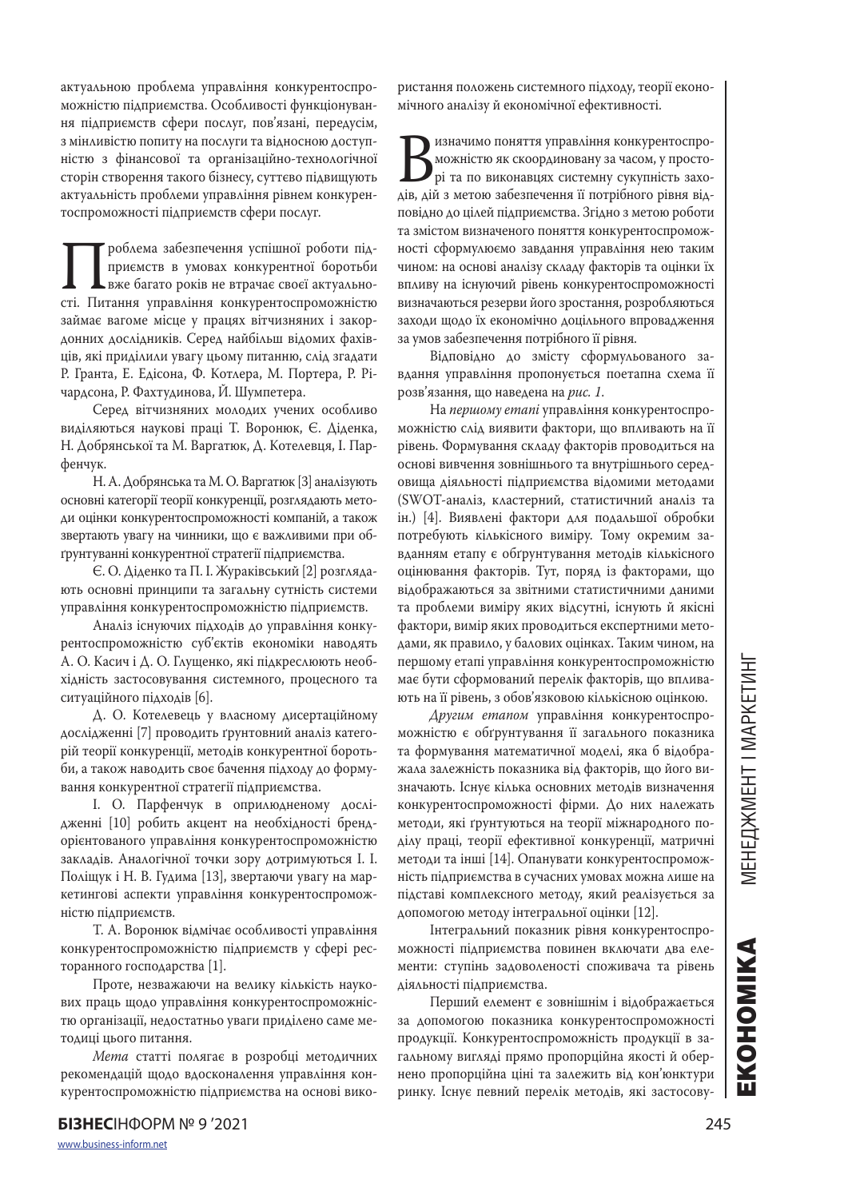актуальною проблема управління конкурентоспроможністю підприємства. Особливості функціонування підприємств сфери послуг, пов'язані, передусім, з мінливістю попиту на послуги та відносною доступністю з фінансової та організаційно-технологічної сторін створення такого бізнесу, суттєво підвищують актуальність проблеми управління рівнем конкурентоспроможності підприємств сфери послуг.

Проблема забезпечення успішної роботи під-сті. Питання управління конкурентоспроможністю приємств в умовах конкурентної боротьби вже багато років не втрачає своєї актуальнозаймає вагоме місце у працях вітчизняних і закордонних дослідників. Серед найбільш відомих фахівців, які приділили увагу цьому питанню, слід згадати Р. Гранта, Е. Едісона, Ф. Котлера, М. Портера, Р. Річардсона, Р. Фахтудинова, Й. Шумпетера.

Серед вітчизняних молодих учених особливо виділяються наукові праці Т. Воронюк, Є. Діденка, Н. Добрянської та М. Варгатюк, Д. Котелевця, І. Парфенчук.

Н. А. Добрянська та М. О. Варгатюк [3] аналізують основні категорії теорії конкуренції, розглядають методи оцінки конкурентоспроможності компаній, а також звертають увагу на чинники, що є важливими при обґрунтуванні конкурентної стратегії підприємства.

Є. О. Діденко та П. І. Жураківський [2] розглядають основні принципи та загальну сутність системи управління конкурентоспроможністю підприємств.

Аналіз існуючих підходів до управління конкурентоспроможністю суб'єктів економіки наводять А. О. Касич і Д. О. Глущенко, які підкреслюють необхідність застосовування системного, процесного та ситуаційного підходів [6].

Д. О. Котелевець у власному дисертаційному дослідженні [7] проводить ґрунтовний аналіз категорій теорії конкуренції, методів конкурентної боротьби, а також наводить своє бачення підходу до формування конкурентної стратегії підприємства.

І. О. Парфенчук в оприлюдненому дослідженні [10] робить акцент на необхідності брендорієнтованого управління конкурентоспроможністю закладів. Аналогічної точки зору дотримуються І. І. Поліщук і Н. В. Гудима [13], звертаючи увагу на маркетингові аспекти управління конкурентоспроможністю підприємств.

Т. А. Воронюк відмічає особливості управління конкурентоспроможністю підприємств у сфері ресторанного господарства [1].

Проте, незважаючи на велику кількість наукових праць щодо управління конкурентоспроможністю організації, недостатньо уваги приділено саме методиці цього питання.

*Мета* статті полягає в розробці методичних рекомендацій щодо вдосконалення управління конкурентоспроможністю підприємства на основі використання положень системного підходу, теорії економічного аналізу й економічної ефективності.

Визначимо поняття управління конкурентоспро-<br>Вихністю як скоординовану за часом, у просто-<br>дів, дій з метою забезпечення її потрібного рівня відможністю як скоординовану за часом, у просторі та по виконавцях системну сукупність захоповідно до цілей підприємства. Згідно з метою роботи та змістом визначеного поняття конкурентоспроможності сформулюємо завдання управління нею таким чином: на основі аналізу складу факторів та оцінки їх впливу на існуючий рівень конкурентоспроможності визначаються резерви його зростання, розробляються заходи щодо їх економічно доцільного впровадження за умов забезпечення потрібного її рівня.

Відповідно до змісту сформульованого завдання управління пропонується поетапна схема її розв'язання, що наведена на *рис. 1*.

На *першому етапі* управління конкурентоспроможністю слід виявити фактори, що впливають на її рівень. Формування складу факторів проводиться на основі вивчення зовнішнього та внутрішнього середовища діяльності підприємства відомими методами (SWOT-аналіз, кластерний, статистичний аналіз та ін.) [4]. Виявлені фактори для подальшої обробки потребують кількісного виміру. Тому окремим завданням етапу є обґрунтування методів кількісного оцінювання факторів. Тут, поряд із факторами, що відображаються за звітними статистичними даними та проблеми виміру яких відсутні, існують й якісні фактори, вимір яких проводиться експертними методами, як правило, у балових оцінках. Таким чином, на першому етапі управління конкурентоспроможністю має бути сформований перелік факторів, що впливають на її рівень, з обов'язковою кількісною оцінкою.

*Другим етапом* управління конкурентоспроможністю є обґрунтування її загального показника та формування математичної моделі, яка б відображала залежність показника від факторів, що його визначають. Існує кілька основних методів визначення конкурентоспроможності фірми. До них належать методи, які ґрунтуються на теорії міжнародного поділу праці, теорії ефективної конкуренції, матричні методи та інші [14]. Опанувати конкурентоспроможність підприємства в сучасних умовах можна лише на підставі комплексного методу, який реалізується за допомогою методу інтегральної оцінки [12].

Інтегральний показник рівня конкурентоспроможності підприємства повинен включати два елементи: ступінь задоволеності споживача та рівень діяльності підприємства.

Перший елемент є зовнішнім і відображається за допомогою показника конкурентоспроможності продукції. Конкурентоспроможність продукції в загальному вигляді прямо пропорційна якості й обернено пропорційна ціні та залежить від кон'юнктури ринку. Існує певний перелік методів, які застосову-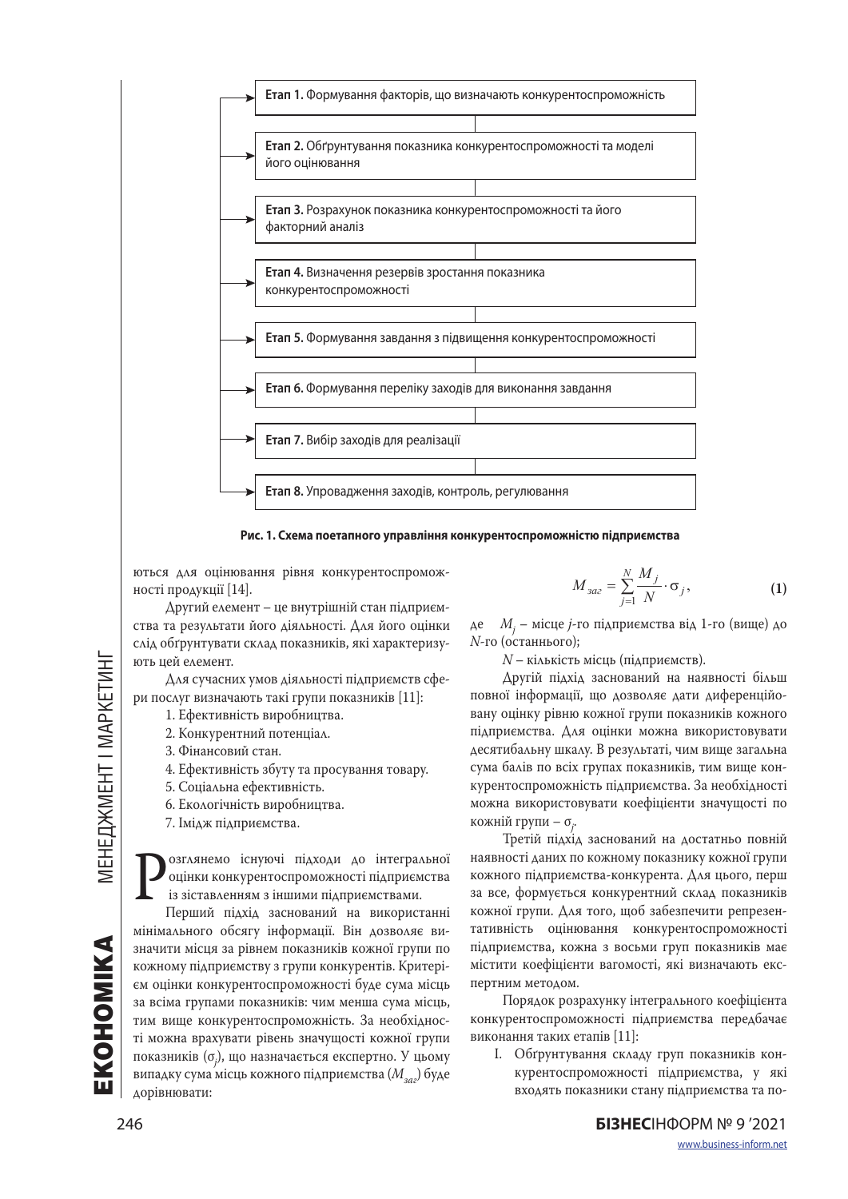



ються для оцінювання рівня конкурентоспроможності продукції [14].

Другий елемент – це внутрішній стан підприємства та результати його діяльності. Для його оцінки слід обґрунтувати склад показників, які характеризують цей елемент.

Для сучасних умов діяльності підприємств сфери послуг визначають такі групи показників [11]:

- 1. Ефективність виробництва. 2. Конкурентний потенціал.
- 3. Фінансовий стан.
- 4. Ефективність збуту та просування товару.
- 5. Соціальна ефективність.
- 6. Екологічність виробництва.
- 7. Імідж підприємства.

**Розглянемо існуючі підходи до інтегральної** оцінки конкурентоспроможності підприємства із зіставленням з іншими підприємствами.<br>Перший підхід заснований на використанні оцінки конкурентоспроможності підприємства із зіставленням з іншими підприємствами.

мінімального обсягу інформації. Він дозволяє визначити місця за рівнем показників кожної групи по кожному підприємству з групи конкурентів. Критерієм оцінки конкурентоспроможності буде сума місць за всіма групами показників: чим менша сума місць, тим вище конкурентоспроможність. За необхідності можна врахувати рівень значущості кожної групи показників (σ*<sup>j</sup>* ), що назначається експертно. У цьому випадку сума місць кожного підприємства (*Mзаг*) буде дорівнювати:

$$
M_{3az} = \sum_{j=1}^{N} \frac{M_j}{N} \cdot \sigma_j, \qquad (1)
$$

де *Мj* – місце *j*-го підприємства від 1-го (вище) до *N*-го (останнього);

*N* – кількість місць (підприємств).

Другій підхід заснований на наявності більш повної інформації, що дозволяє дати диференційовану оцінку рівню кожної групи показників кожного підприємства. Для оцінки можна використовувати десятибальну шкалу. В результаті, чим вище загальна сума балів по всіх групах показників, тим вище конкурентоспроможність підприємства. За необхідності можна використовувати коефіцієнти значущості по кожній групи – σ*<sup>j</sup>* .

Третій підхід заснований на достатньо повній наявності даних по кожному показнику кожної групи кожного підприємства-конкурента. Для цього, перш за все, формується конкурентний склад показників кожної групи. Для того, щоб забезпечити репрезентативність оцінювання конкурентоспроможності підприємства, кожна з восьми груп показників має містити коефіцієнти вагомості, які визначають експертним методом.

Порядок розрахунку інтегрального коефіцієнта конкурентоспроможності підприємства передбачає виконання таких етапів [11]:

І. Обґрунтування складу груп показників конкурентоспроможності підприємства, у які входять показники стану підприємства та по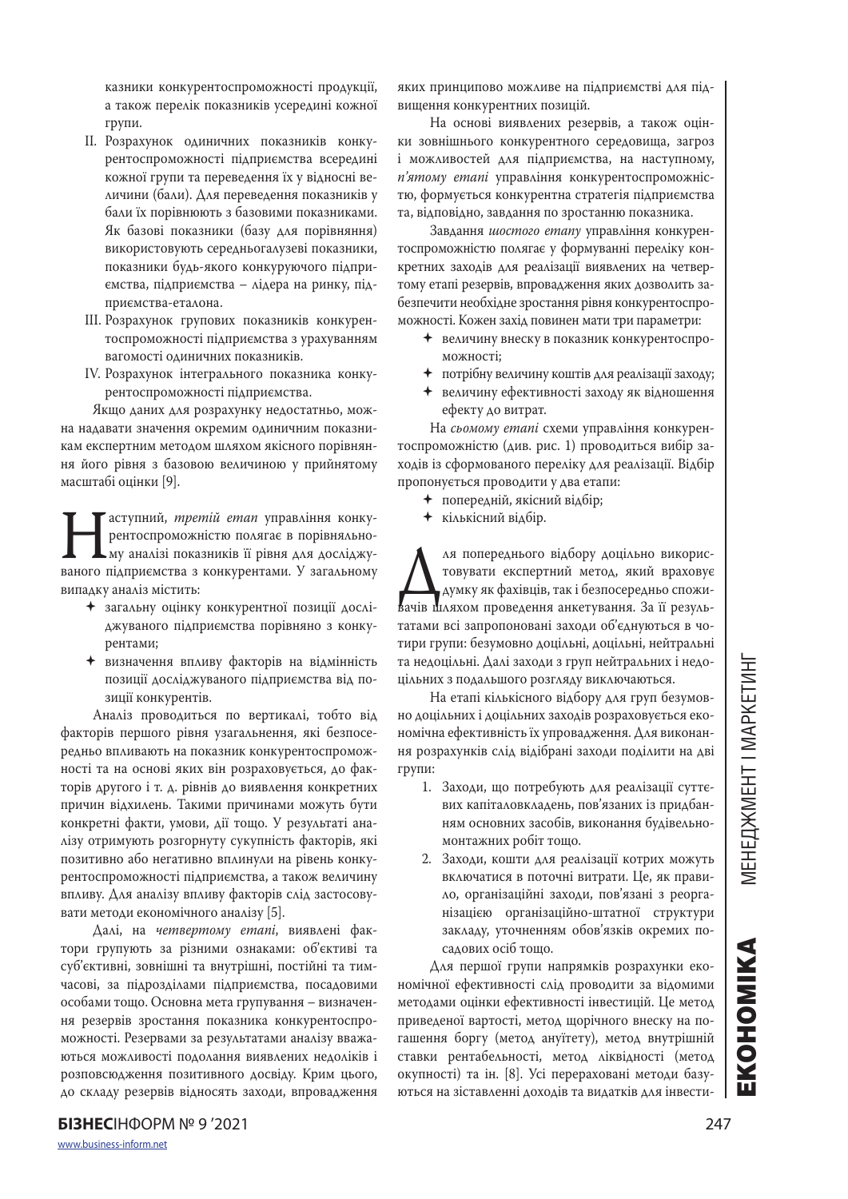казники конкурентоспроможності продукції, а також перелік показників усередині кожної групи.

- ІІ. Розрахунок одиничних показників конкурентоспроможності підприємства всередині кожної групи та переведення їх у відносні величини (бали). Для переведення показників у бали їх порівнюють з базовими показниками. Як базові показники (базу для порівняння) використовують середньогалузеві показники, показники будь-якого конкуруючого підприємства, підприємства – лідера на ринку, підприємства-еталона.
- ІII. Розрахунок групових показників конкурентоспроможності підприємства з урахуванням вагомості одиничних показників.
- IV. Розрахунок інтегрального показника конкурентоспроможності підприємства.

Якщо даних для розрахунку недостатньо, можна надавати значення окремим одиничним показникам експертним методом шляхом якісного порівняння його рівня з базовою величиною у прийнятому масштабі оцінки [9].

Пластупний, *третій етап* управління конку-<br>рентоспроможністю полягає в порівняльно-<br>ваного підприємства з конкурентами. У загальному рентоспроможністю полягає в порівняльному аналізі показників її рівня для досліджувипадку аналіз містить:

- загальну оцінку конкурентної позиції досліджуваного підприємства порівняно з конкурентами;
- визначення впливу факторів на відмінність позиції досліджуваного підприємства від позиції конкурентів.

Аналіз проводиться по вертикалі, тобто від факторів першого рівня узагальнення, які безпосередньо впливають на показник конкурентоспроможності та на основі яких він розраховується, до факторів другого і т. д. рівнів до виявлення конкретних причин відхилень. Такими причинами можуть бути конкретні факти, умови, дії тощо. У результаті аналізу отримують розгорнуту сукупність факторів, які позитивно або негативно вплинули на рівень конкурентоспроможності підприємства, а також величину впливу. Для аналізу впливу факторів слід застосовувати методи економічного аналізу [5].

Далі, на *четвертому етапі*, виявлені фактори групують за різними ознаками: об'єктиві та суб'єктивні, зовнішні та внутрішні, постійні та тимчасові, за підрозділами підприємства, посадовими особами тощо. Основна мета групування – визначення резервів зростання показника конкурентоспроможності. Резервами за результатами аналізу вважаються можливості подолання виявлених недоліків і розповсюдження позитивного досвіду. Крим цього, до складу резервів відносять заходи, впровадження

яких принципово можливе на підприємстві для підвищення конкурентних позицій.

На основі виявлених резервів, а також оцінки зовнішнього конкурентного середовища, загроз і можливостей для підприємства, на наступному, *п'ятому етапі* управління конкурентоспроможністю, формується конкурентна стратегія підприємства та, відповідно, завдання по зростанню показника.

Завдання *шостого етапу* управління конкурентоспроможністю полягає у формуванні переліку конкретних заходів для реалізації виявлених на четвертому етапі резервів, впровадження яких дозволить забезпечити необхідне зростання рівня конкурентоспроможності. Кожен захід повинен мати три параметри:

- величину внеску в показник конкурентоспроможності;
- потрібну величину коштів для реалізації заходу;
- величину ефективності заходу як відношення ефекту до витрат.

На *сьомому етапі* схеми управління конкурентоспроможністю (див. рис. 1) проводиться вибір заходів із сформованого переліку для реалізації. Відбір пропонується проводити у два етапи:

попередній, якісний відбір;

кількісний відбір.

ля попереднього відбору доцільно викорис-<br>повувати експертний метод, який враховує<br>Вачів шляхом проведення анкетування. За її результовувати експертний метод, який враховує думку як фахівців, так і безпосередньо спожитатами всі запропоновані заходи об'єднуються в чотири групи: безумовно доцільні, доцільні, нейтральні та недоцільні. Далі заходи з груп нейтральних і недоцільних з подальшого розгляду виключаються.

На етапі кількісного відбору для груп безумовно доцільних і доцільних заходів розраховується економічна ефективність їх упровадження. Для виконання розрахунків слід відібрані заходи поділити на дві групи:

- 1. Заходи, що потребують для реалізації суттєвих капіталовкладень, пов'язаних із придбанням основних засобів, виконання будівельномонтажних робіт тощо.
- 2. Заходи, кошти для реалізації котрих можуть включатися в поточні витрати. Це, як правило, організаційні заходи, пов'язані з реорганізацією організаційно-штатної структури закладу, уточненням обов'язків окремих посадових осіб тощо.

Для першої групи напрямків розрахунки економічної ефективності слід проводити за відомими методами оцінки ефективності інвестицій. Це метод приведеної вартості, метод щорічного внеску на погашення боргу (метод ануїтету), метод внутрішній ставки рентабельності, метод ліквідності (метод окупності) та ін. [8]. Усі перераховані методи базуються на зіставленні доходів та видатків для інвести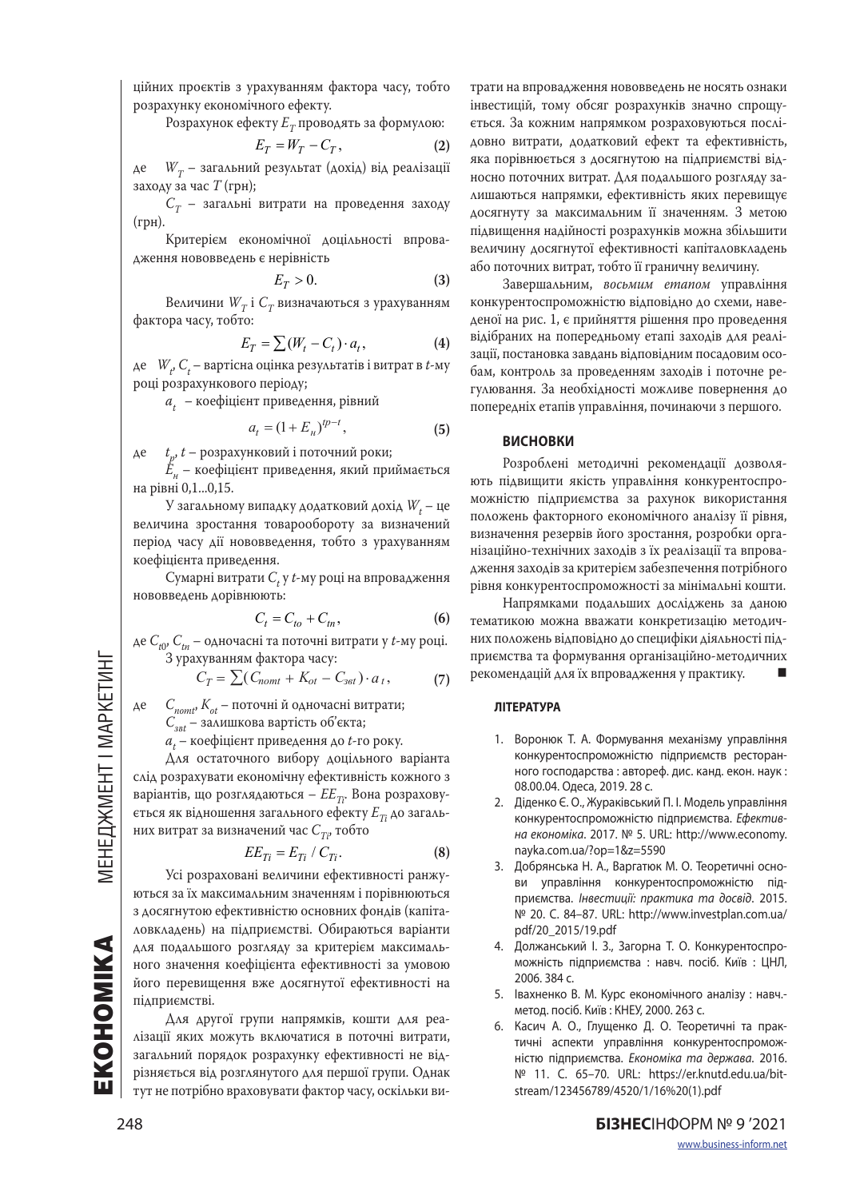ційних проєктів з урахуванням фактора часу, тобто розрахунку економічного ефекту.

Розрахунок ефекту  $E_T$  проводять за формулою:

$$
E_T = W_T - C_T, \tag{2}
$$

де  $W_T$  – загальний результат (дохід) від реалізації заходу за час *T* (грн);

 $C_T$  – загальні витрати на проведення заходу (грн).

Критерієм економічної доцільності впровадження нововведень є нерівність

$$
E_T > 0. \tag{3}
$$

Величини  $W_T$  і  $C_T$  визначаються з урахуванням фактора часу, тобто:

$$
E_T = \sum (W_t - C_t) \cdot a_t, \tag{4}
$$

де *W<sub>t</sub>, C<sub>t</sub>* – вартісна оцінка результатів і витрат в *t-*му році розрахункового періоду;

*at* – коефіцієнт приведення, рівний

$$
a_t = (1 + E_n)^{tp-t},\tag{5}
$$

де *t <sup>p</sup>*, *t* – розрахунковий і поточний роки;

 $\mathring{E}_{\nu}$  – коефіцієнт приведення, який приймається на рівні 0,1...0,15.

У загальному випадку додатковий дохід  $W_t$  — це величина зростання товарообороту за визначений період часу дії нововведення, тобто з урахуванням коефіцієнта приведення.

 $C$ умарні витрати  $C_t$  у  $t$ -му році на впровадження нововведень дорівнюють:

$$
C_t = C_{to} + C_{tn},
$$
\n<sup>(6)</sup>

де *Ct*0, *Ctn* – одночасні та поточні витрати у *t*-му році. З урахуванням фактора часу:

$$
C_T = \sum (C_{nomtt} + K_{ot} - C_{set}) \cdot a_t, \tag{7}
$$

де *Cnomt*, *Kot* – поточні й одночасні витрати; *Сзвt* – залишкова вартість об'єкта;

 $a_t$  — коефіцієнт приведення до *t*-го року.

Для остаточного вибору доцільного варіанта слід розрахувати економічну ефективність кожного з варіантів, що розглядаються –  $E E_{T_i}$ . Вона розраховується як відношення загального ефекту  $E_{T_i}$  до загальних витрат за визначений час  $C_{T_i}$ , тобто

$$
EE_{Ti} = E_{Ti} / C_{Ti}.
$$
 (8)

 $EE_{Ti} = E_{Ti} / C_{Ti}$ . (8)<br>Усі розраховані величини ефективності ранжуються за їх максимальним значенням і порівнюються з досягнутою ефективністю основних фондів (капіталовкладень) на підприємстві. Обираються варіанти для подальшого розгляду за критерієм максимального значення коефіцієнта ефективності за умовою його перевищення вже досягнутої ефективності на підприємстві.

Для другої групи напрямків, кошти для реалізації яких можуть включатися в поточні витрати, загальний порядок розрахунку ефективності не відрізняється від розглянутого для першої групи. Однак тут не потрібно враховувати фактор часу, оскільки ви-

трати на впровадження нововведень не носять ознаки інвестицій, тому обсяг розрахунків значно спрощується. За кожним напрямком розраховуються послідовно витрати, додатковий ефект та ефективність, яка порівнюється з досягнутою на підприємстві відносно поточних витрат. Для подальшого розгляду залишаються напрямки, ефективність яких перевищує досягнуту за максимальним її значенням. З метою підвищення надійності розрахунків можна збільшити величину досягнутої ефективності капіталовкладень або поточних витрат, тобто її граничну величину.

Завершальним, *восьмим етапом* управління конкурентоспроможністю відповідно до схеми, наведеної на рис. 1, є прийняття рішення про проведення відібраних на попередньому етапі заходів для реалізації, постановка завдань відповідним посадовим особам, контроль за проведенням заходів і поточне регулювання. За необхідності можливе повернення до попередніх етапів управління, починаючи з першого.

### **ВИСНОВКИ**

Розроблені методичні рекомендації дозволяють підвищити якість управління конкурентоспроможністю підприємства за рахунок використання положень факторного економічного аналізу її рівня, визначення резервів його зростання, розробки організаційно-технічних заходів з їх реалізації та впровадження заходів за критерієм забезпечення потрібного рівня конкурентоспроможності за мінімальні кошти.

Напрямками подальших досліджень за даною тематикою можна вважати конкретизацію методичних положень відповідно до специфіки діяльності підприємства та формування організаційно-методичних рекомендацій для їх впровадження у практику.

#### **ЛІТЕРАТУРА**

- 1. Воронюк Т. А. Формування механізму управління конкурентоспроможністю підприємств ресторанного господарства : автореф. дис. канд. екон. наук : 08.00.04. Одеса, 2019. 28 с.
- 2. Діденко Є. О., Жураківський П. І. Модель управління конкурентоспроможністю підприємства. *Ефективна економіка*. 2017. № 5. URL: http://www.economy. nayka.com.ua/?op=1&z=5590
- 3. Добрянська Н. А., Варгатюк М. О. Теоретичні основи управління конкурентоспроможністю підприємства. *Інвестиції: практика та досвід*. 2015. № 20. С. 84–87. URL: http://www.investplan.com.ua/ pdf/20\_2015/19.pdf
- 4. Должанський І. З., Загорна Т. О. Конкурентоспроможність підприємства : навч. посіб. Київ : ЦНЛ, 2006. 384 с.
- 5. Івахненко В. М. Курс економічного аналізу : навч. метод. посіб. Київ : КНЕУ, 2000. 263 с.
- 6. Касич А. О., Глущенко Д. О. Теоретичні та практичні аспекти управління конкурентоспроможністю підприємства. *Економiка та держава*. 2016. № 11. С. 65–70. URL: https://er.knutd.edu.ua/bitstream/123456789/4520/1/16%20(1).pdf